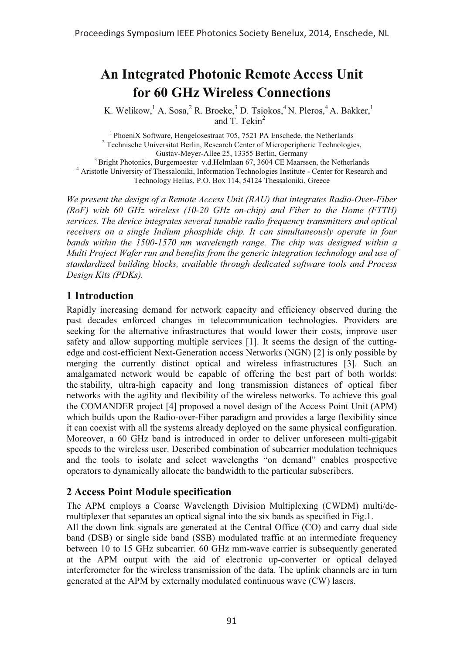# **An Integrated Photonic Remote Access Unit for 60 GHz Wireless Connections**

K. Welikow,  $^1$  A. Sosa,  $^2$  R. Broeke,  $^3$  D. Tsiokos,  $^4$  N. Pleros,  $^4$  A. Bakker,  $^1$ and T. Tekin $2$ 

<sup>1</sup> PhoeniX Software, Hengelosestraat 705, 7521 PA Enschede, the Netherlands <sup>2</sup> Technische Universitat Berlin, Research Center of Microperipheric Technologies, Gustav-Meyer-Allee 25, 13355 Berlin, Germany  $^{3}$  Bright Photonics, Burgemeester v.d. Helmlaan 67, 3604 CE Maarssen, the Netherlands  $^{4}$  Aristotle University of Thessaloniki, Information Technologies Institute - Center for Research and Technology Hellas, P.O. Box 114, 54124 Thessaloniki, Greece

*We present the design of a Remote Access Unit (RAU) that integrates Radio-Over-Fiber (RoF) with 60 GHz wireless (10-20 GHz on-chip) and Fiber to the Home (FTTH) services. The device integrates several tunable radio frequency transmitters and optical*  receivers on a single Indium phosphide chip. It can simultaneously operate in four *bands within the 1500-1570 nm wavelength range. The chip was designed within a Multi Project Wafer run and benefits from the generic integration technology and use of standardized building blocks, available through dedicated software tools and Process Design Kits (PDKs).*

## **1 Introduction**

Rapidly increasing demand for network capacity and efficiency observed during the past decades enforced changes in telecommunication technologies. Providers are seeking for the alternative infrastructures that would lower their costs, improve user safety and allow supporting multiple services [1]. It seems the design of the cuttingedge and cost-efficient Next-Generation access Networks (NGN) [2] is only possible by merging the currently distinct optical and wireless infrastructures [3]. Such an amalgamated network would be capable of offering the best part of both worlds: the stability, ultra-high capacity and long transmission distances of optical fiber networks with the agility and flexibility of the wireless networks. To achieve this goal the COMANDER project [4] proposed a novel design of the Access Point Unit (APM) which builds upon the Radio-over-Fiber paradigm and provides a large flexibility since it can coexist with all the systems already deployed on the same physical configuration. Moreover, a 60 GHz band is introduced in order to deliver unforeseen multi-gigabit speeds to the wireless user. Described combination of subcarrier modulation techniques and the tools to isolate and select wavelengths "on demand" enables prospective operators to dynamically allocate the bandwidth to the particular subscribers.

### **2 Access Point Module specification**

The APM employs a Coarse Wavelength Division Multiplexing (CWDM) multi/demultiplexer that separates an optical signal into the six bands as specified in Fig.1. All the down link signals are generated at the Central Office (CO) and carry dual side band (DSB) or single side band (SSB) modulated traffic at an intermediate frequency between 10 to 15 GHz subcarrier. 60 GHz mm-wave carrier is subsequently generated at the APM output with the aid of electronic up-converter or optical delayed interferometer for the wireless transmission of the data. The uplink channels are in turn generated at the APM by externally modulated continuous wave (CW) lasers.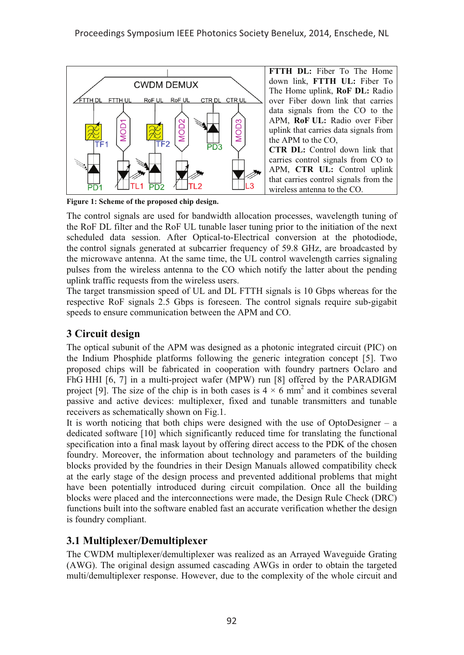

**Figure 1: Scheme of the proposed chip design.**

The control signals are used for bandwidth allocation processes, wavelength tuning of the RoF DL filter and the RoF UL tunable laser tuning prior to the initiation of the next scheduled data session. After Optical-to-Electrical conversion at the photodiode, the control signals generated at subcarrier frequency of 59.8 GHz, are broadcasted by the microwave antenna. At the same time, the UL control wavelength carries signaling pulses from the wireless antenna to the CO which notify the latter about the pending uplink traffic requests from the wireless users.

The target transmission speed of UL and DL FTTH signals is 10 Gbps whereas for the respective RoF signals 2.5 Gbps is foreseen. The control signals require sub-gigabit speeds to ensure communication between the APM and CO.

# **3 Circuit design**

The optical subunit of the APM was designed as a photonic integrated circuit (PIC) on the Indium Phosphide platforms following the generic integration concept [5]. Two proposed chips will be fabricated in cooperation with foundry partners Oclaro and FhG HHI [6, 7] in a multi-project wafer (MPW) run [8] offered by the PARADIGM project [9]. The size of the chip is in both cases is  $4 \times 6$  mm<sup>2</sup> and it combines several passive and active devices: multiplexer, fixed and tunable transmitters and tunable receivers as schematically shown on Fig.1.

It is worth noticing that both chips were designed with the use of OptoDesigner –  $a$ dedicated software [10] which significantly reduced time for translating the functional specification into a final mask layout by offering direct access to the PDK of the chosen foundry. Moreover, the information about technology and parameters of the building blocks provided by the foundries in their Design Manuals allowed compatibility check at the early stage of the design process and prevented additional problems that might have been potentially introduced during circuit compilation. Once all the building blocks were placed and the interconnections were made, the Design Rule Check (DRC) functions built into the software enabled fast an accurate verification whether the design is foundry compliant.

# **3.1 Multiplexer/Demultiplexer**

The CWDM multiplexer/demultiplexer was realized as an Arrayed Waveguide Grating (AWG). The original design assumed cascading AWGs in order to obtain the targeted multi/demultiplexer response. However, due to the complexity of the whole circuit and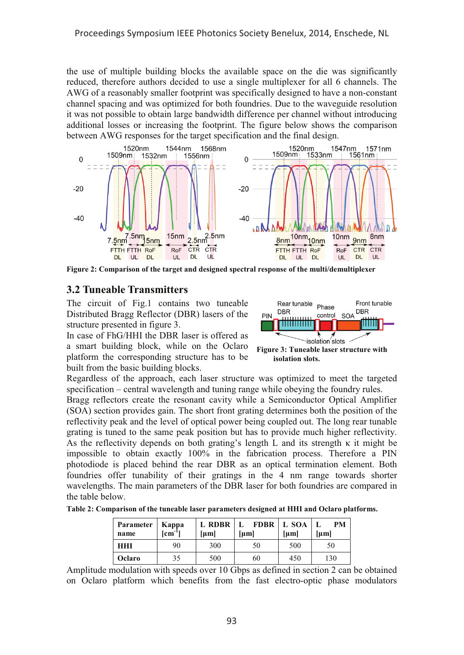the use of multiple building blocks the available space on the die was significantly reduced, therefore authors decided to use a single multiplexer for all 6 channels. The AWG of a reasonably smaller footprint was specifically designed to have a non-constant channel spacing and was optimized for both foundries. Due to the waveguide resolution it was not possible to obtain large bandwidth difference per channel without introducing additional losses or increasing the footprint. The figure below shows the comparison between AWG responses for the target specification and the final design.



**Figure 2: Comparison of the target and designed spectral response of the multi/demultiplexer**

## **3.2 Tuneable Transmitters**

The circuit of Fig.1 contains two tuneable Distributed Bragg Reflector (DBR) lasers of the structure presented in figure 3.

In case of FhG/HHI the DBR laser is offered as a smart building block, while on the Oclaro platform the corresponding structure has to be built from the basic building blocks.



**isolation slots.**

Regardless of the approach, each laser structure was optimized to meet the targeted specification – central wavelength and tuning range while obeying the foundry rules.

Bragg reflectors create the resonant cavity while a Semiconductor Optical Amplifier (SOA) section provides gain. The short front grating determines both the position of the reflectivity peak and the level of optical power being coupled out. The long rear tunable grating is tuned to the same peak position but has to provide much higher reflectivity. As the reflectivity depends on both grating's length L and its strength  $\kappa$  it might be impossible to obtain exactly 100% in the fabrication process. Therefore a PIN photodiode is placed behind the rear DBR as an optical termination element. Both foundries offer tunability of their gratings in the 4 nm range towards shorter wavelengths. The main parameters of the DBR laser for both foundries are compared in the table below.

**Table 2: Comparison of the tuneable laser parameters designed at HHI and Oclaro platforms.**

| Parameter<br>name | Kappa<br>$[cm^{-1}]$ | L RDBR<br>${\rm [µm]}$ | <b>FDBR</b>   L SOA<br>- L<br>${\rm [µm]}$ | ${\rm [µm]}$ | PM<br><b>fuml</b> |
|-------------------|----------------------|------------------------|--------------------------------------------|--------------|-------------------|
| <b>HHI</b>        | 90                   | 300                    | 50                                         | 500          | 50                |
| Oclaro            | 35                   | 500                    | 60                                         | 450          | 130               |

Amplitude modulation with speeds over 10 Gbps as defined in section 2 can be obtained on Oclaro platform which benefits from the fast electro-optic phase modulators